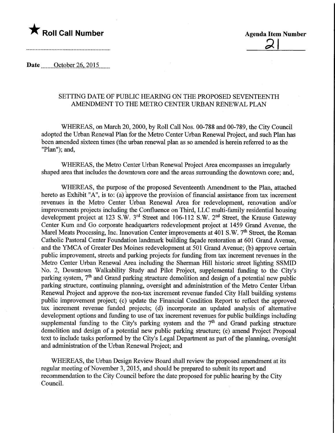

Date <u>October 26</u>, 2015

## SETTING DATE OF PUBLIC HEARING ON THE PROPOSED SEVENTEENTH AMENDMENT TO THE METRO CENTER URBAN RENEWAL PLAN

WHEREAS, on March 20, 2000, by Roll Call Nos. 00-788 and 00-789, the City Council adopted the Urban Renewal Plan for the Metro Center Urban Renewal Project, and such Plan has been amended sixteen times (the urban renewal plan as so amended is herein referred to as the "Plan"); and,

WHEREAS, the Metro Center Urban Renewal Project Area encompasses an irregularly shaped area that includes the downtown core and the areas surrounding the downtown core; and,

WHEREAS, the purpose of the proposed Seventeenth Amendment to the Plan, attached hereto as Exhibit "A", is to: (a) approve the provision of financial assistance from tax increment revenues in the Metro Center Urban Renewal Area for redevelopment, renovation and/or improvements projects including the Confluence on Third, LLC multi-family residential housing development project at 123 S.W. 3<sup>rd</sup> Street and 106-112 S.W. 2<sup>nd</sup> Street, the Krause Gateway Center Kum and Go corporate headquarters redevelopment project at 1459 Grand Avenue, the Marel Meats Processing, Inc. Innovation Center improvements at 401 S.W.  $7<sup>th</sup>$  Street, the Roman Catholic Pastoral Center Foundation landmark building facade restoration at 601 Grand Avenue, and the YMCA of Greater Des Moines redevelopment at 501 Grand Avenue; (b) approve certain public improvement, streets and parking projects for funding from tax mcrement revenues in the Metro Center Urban Renewal Area including the Sherman Hill historic street lighting SSMID No. 2, Downtown Walkability Study and Pilot Project, supplemental funding to the City's parking system, 7<sup>th</sup> and Grand parking structure demolition and design of a potential new public parking structure, continuing planning, oversight and administration of the Metro Center Urban Renewal Project and approve the non-tax increment revenue funded City Hall building systems public improvement project; (c) update the Financial Condition Report to reflect the approved tax increment revenue funded projects; (d) incorporate an updated analysis of alternative development options and funding to use of tax increment revenues for public buildings including supplemental funding to the City's parking system and the  $7<sup>th</sup>$  and Grand parking structure demolition and design of a potential new public parking structure; (e) amend Project Proposal text to include tasks performed by the City's Legal Department as part of the planning, oversight and administration of the Urban Renewal Project; and

WHEREAS, the Urban Design Review Board shall review the proposed amendment at its regular meeting of November 3, 2015, and should be prepared to submit its report and recommendation to the City Council before the date proposed for public hearing by the City Council.